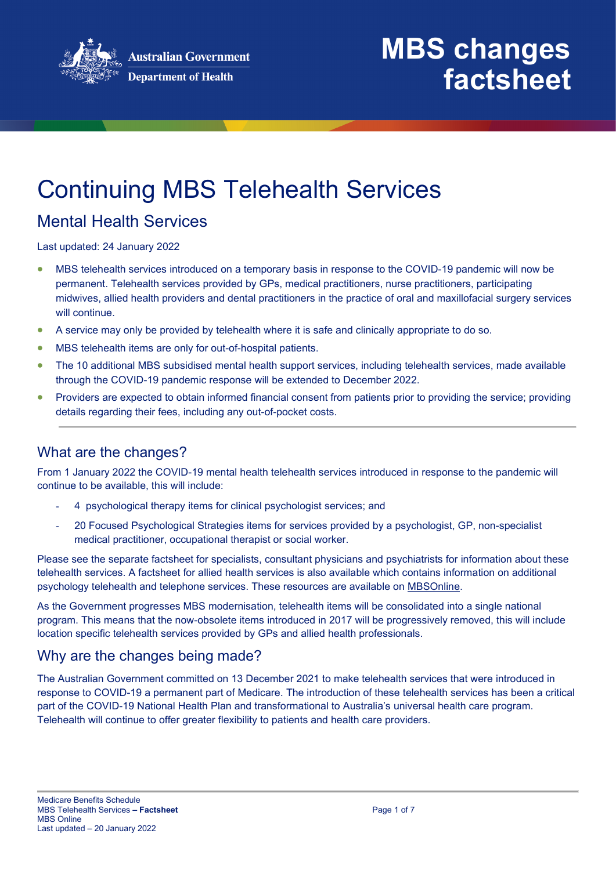

### Continuing MBS Telehealth Services

### Mental Health Services

Last updated: 24 January 2022

- MBS telehealth services introduced on a temporary basis in response to the COVID-19 pandemic will now be permanent. Telehealth services provided by GPs, medical practitioners, nurse practitioners, participating midwives, allied health providers and dental practitioners in the practice of oral and maxillofacial surgery services will continue.
- A service may only be provided by telehealth where it is safe and clinically appropriate to do so.
- MBS telehealth items are only for out-of-hospital patients.
- The 10 additional MBS subsidised mental health support services, including telehealth services, made available through the COVID-19 pandemic response will be extended to December 2022.
- Providers are expected to obtain informed financial consent from patients prior to providing the service; providing details regarding their fees, including any out-of-pocket costs.

### What are the changes?

From 1 January 2022 the COVID-19 mental health telehealth services introduced in response to the pandemic will continue to be available, this will include:

- 4 psychological therapy items for clinical psychologist services; and
- 20 Focused Psychological Strategies items for services provided by a psychologist, GP, non-specialist medical practitioner, occupational therapist or social worker.

Please see the separate factsheet for specialists, consultant physicians and psychiatrists for information about these telehealth services. A factsheet for allied health services is also available which contains information on additional psychology telehealth and telephone services. These resources are available on [MBSOnline.](http://www.mbsonline.gov.au/internet/mbsonline/publishing.nsf/Content/Factsheet-Telehealth-Arrangements-1Jan22)

As the Government progresses MBS modernisation, telehealth items will be consolidated into a single national program. This means that the now-obsolete items introduced in 2017 will be progressively removed, this will include location specific telehealth services provided by GPs and allied health professionals.

### Why are the changes being made?

The Australian Government committed on 13 December 2021 to make telehealth services that were introduced in response to COVID-19 a permanent part of Medicare. The introduction of these telehealth services has been a critical part of the COVID-19 National Health Plan and transformational to Australia's universal health care program. Telehealth will continue to offer greater flexibility to patients and health care providers.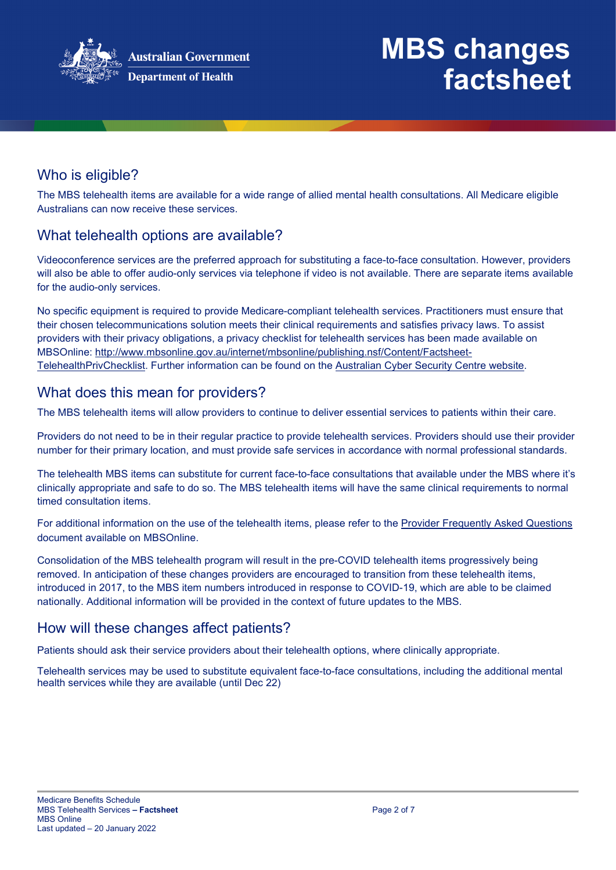

### Who is eligible?

The MBS telehealth items are available for a wide range of allied mental health consultations. All Medicare eligible Australians can now receive these services.

### What telehealth options are available?

Videoconference services are the preferred approach for substituting a face-to-face consultation. However, providers will also be able to offer audio-only services via telephone if video is not available. There are separate items available for the audio-only services.

No specific equipment is required to provide Medicare-compliant telehealth services. Practitioners must ensure that their chosen telecommunications solution meets their clinical requirements and satisfies privacy laws. To assist providers with their privacy obligations, a privacy checklist for telehealth services has been made available on MBSOnline: [http://www.mbsonline.gov.au/internet/mbsonline/publishing.nsf/Content/Factsheet-](http://www.mbsonline.gov.au/internet/mbsonline/publishing.nsf/Content/Factsheet-TelehealthPrivChecklist)[TelehealthPrivChecklist.](http://www.mbsonline.gov.au/internet/mbsonline/publishing.nsf/Content/Factsheet-TelehealthPrivChecklist) Further information can be found on the [Australian Cyber Security Centre website.](https://www.cyber.gov.au/)

#### What does this mean for providers?

The MBS telehealth items will allow providers to continue to deliver essential services to patients within their care.

Providers do not need to be in their regular practice to provide telehealth services. Providers should use their provider number for their primary location, and must provide safe services in accordance with normal professional standards.

The telehealth MBS items can substitute for current face-to-face consultations that available under the MBS where it's clinically appropriate and safe to do so. The MBS telehealth items will have the same clinical requirements to normal timed consultation items.

For additional information on the use of the telehealth items, please refer to the [Provider Frequently Asked Questions](http://www.mbsonline.gov.au/internet/mbsonline/publishing.nsf/Content/Factsheet-TempBB) document available on MBSOnline.

Consolidation of the MBS telehealth program will result in the pre-COVID telehealth items progressively being removed. In anticipation of these changes providers are encouraged to transition from these telehealth items, introduced in 2017, to the MBS item numbers introduced in response to COVID-19, which are able to be claimed nationally. Additional information will be provided in the context of future updates to the MBS.

### How will these changes affect patients?

Patients should ask their service providers about their telehealth options, where clinically appropriate.

Telehealth services may be used to substitute equivalent face-to-face consultations, including the additional mental health services while they are available (until Dec 22)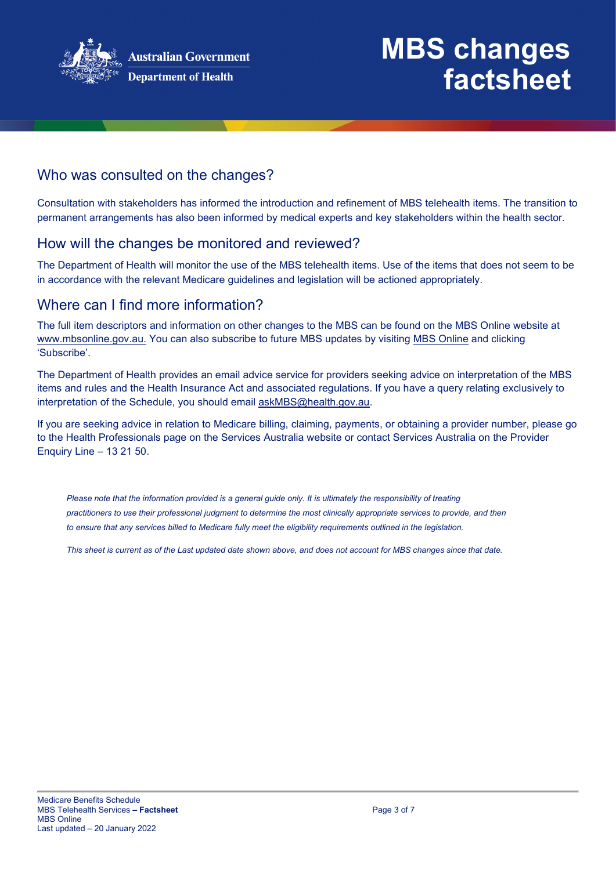

### Who was consulted on the changes?

Consultation with stakeholders has informed the introduction and refinement of MBS telehealth items. The transition to permanent arrangements has also been informed by medical experts and key stakeholders within the health sector.

#### How will the changes be monitored and reviewed?

The Department of Health will monitor the use of the MBS telehealth items. Use of the items that does not seem to be in accordance with the relevant Medicare guidelines and legislation will be actioned appropriately.

#### Where can I find more information?

The full item descriptors and information on other changes to the MBS can be found on the MBS Online website at [www.mbsonline.gov.au.](http://www.mbsonline.gov.au/) You can also subscribe to future MBS updates by visiting [MBS Online](http://www.mbsonline.gov.au/) and clicking 'Subscribe'.

The Department of Health provides an email advice service for providers seeking advice on interpretation of the MBS items and rules and the Health Insurance Act and associated regulations. If you have a query relating exclusively to interpretation of the Schedule, you should email [askMBS@health.gov.au.](mailto:askMBS@health.gov.au)

If you are seeking advice in relation to Medicare billing, claiming, payments, or obtaining a provider number, please go to the Health Professionals page on the Services Australia website or contact Services Australia on the Provider Enquiry Line – 13 21 50.

*Please note that the information provided is a general guide only. It is ultimately the responsibility of treating practitioners to use their professional judgment to determine the most clinically appropriate services to provide, and then to ensure that any services billed to Medicare fully meet the eligibility requirements outlined in the legislation.* 

*This sheet is current as of the Last updated date shown above, and does not account for MBS changes since that date.*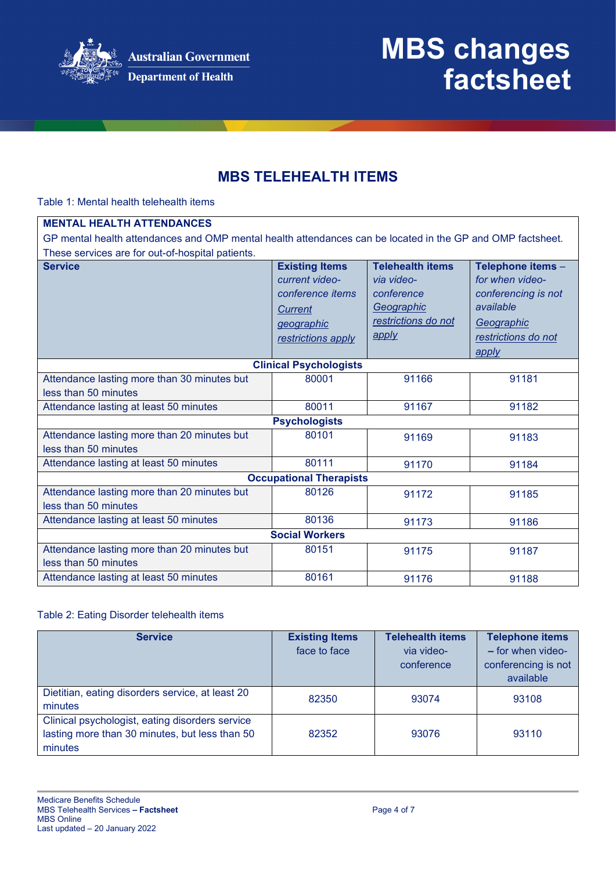

### **MBS TELEHEALTH ITEMS**

Table 1: Mental health telehealth items

| <b>MENTAL HEALTH ATTENDANCES</b>                                                                           |                                                                                                            |                                                                                                   |                                                                                                                        |  |
|------------------------------------------------------------------------------------------------------------|------------------------------------------------------------------------------------------------------------|---------------------------------------------------------------------------------------------------|------------------------------------------------------------------------------------------------------------------------|--|
| GP mental health attendances and OMP mental health attendances can be located in the GP and OMP factsheet. |                                                                                                            |                                                                                                   |                                                                                                                        |  |
| These services are for out-of-hospital patients.                                                           |                                                                                                            |                                                                                                   |                                                                                                                        |  |
| <b>Service</b>                                                                                             | <b>Existing Items</b><br>current video-<br>conference items<br>Current<br>geographic<br>restrictions apply | <b>Telehealth items</b><br>via video-<br>conference<br>Geographic<br>restrictions do not<br>apply | Telephone items -<br>for when video-<br>conferencing is not<br>available<br>Geographic<br>restrictions do not<br>apply |  |
|                                                                                                            | <b>Clinical Psychologists</b>                                                                              |                                                                                                   |                                                                                                                        |  |
| Attendance lasting more than 30 minutes but                                                                | 80001                                                                                                      | 91166                                                                                             | 91181                                                                                                                  |  |
| less than 50 minutes                                                                                       |                                                                                                            |                                                                                                   |                                                                                                                        |  |
| Attendance lasting at least 50 minutes                                                                     | 80011                                                                                                      | 91167                                                                                             | 91182                                                                                                                  |  |
|                                                                                                            | <b>Psychologists</b>                                                                                       |                                                                                                   |                                                                                                                        |  |
| Attendance lasting more than 20 minutes but<br>less than 50 minutes                                        | 80101                                                                                                      | 91169                                                                                             | 91183                                                                                                                  |  |
| Attendance lasting at least 50 minutes                                                                     | 80111                                                                                                      | 91170                                                                                             | 91184                                                                                                                  |  |
| <b>Occupational Therapists</b>                                                                             |                                                                                                            |                                                                                                   |                                                                                                                        |  |
| Attendance lasting more than 20 minutes but<br>less than 50 minutes                                        | 80126                                                                                                      | 91172                                                                                             | 91185                                                                                                                  |  |
| Attendance lasting at least 50 minutes                                                                     | 80136                                                                                                      | 91173                                                                                             | 91186                                                                                                                  |  |
| <b>Social Workers</b>                                                                                      |                                                                                                            |                                                                                                   |                                                                                                                        |  |
| Attendance lasting more than 20 minutes but<br>less than 50 minutes                                        | 80151                                                                                                      | 91175                                                                                             | 91187                                                                                                                  |  |
| Attendance lasting at least 50 minutes                                                                     | 80161                                                                                                      | 91176                                                                                             | 91188                                                                                                                  |  |

#### Table 2: Eating Disorder telehealth items

| <b>Service</b>                                                                                               | <b>Existing Items</b><br>face to face | <b>Telehealth items</b><br>via video-<br>conference | <b>Telephone items</b><br>$-$ for when video-<br>conferencing is not<br>available |
|--------------------------------------------------------------------------------------------------------------|---------------------------------------|-----------------------------------------------------|-----------------------------------------------------------------------------------|
| Dietitian, eating disorders service, at least 20<br>minutes                                                  | 82350                                 | 93074                                               | 93108                                                                             |
| Clinical psychologist, eating disorders service<br>lasting more than 30 minutes, but less than 50<br>minutes | 82352                                 | 93076                                               | 93110                                                                             |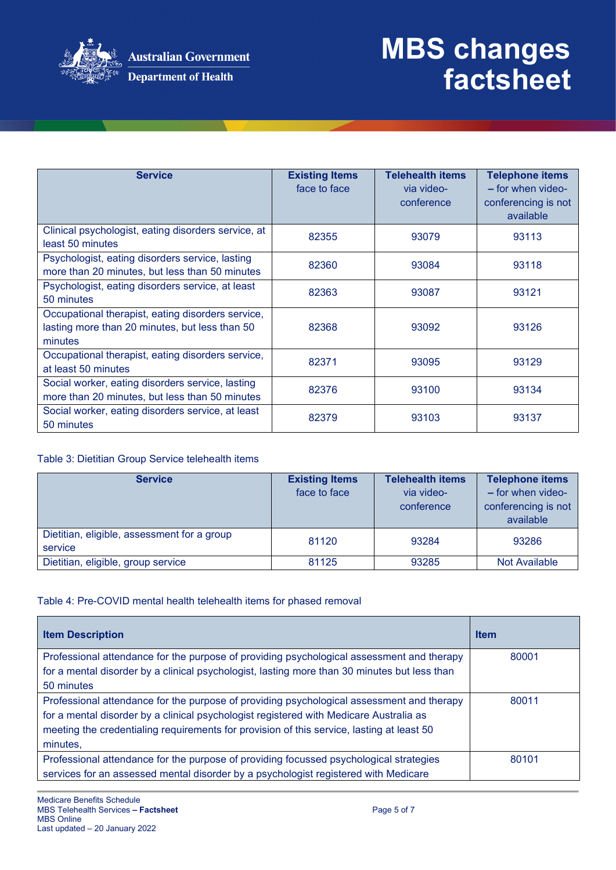

| <b>Service</b>                                                                                                 | <b>Existing Items</b><br>face to face | <b>Telehealth items</b><br>via video-<br>conference | <b>Telephone items</b><br>- for when video-<br>conferencing is not<br>available |
|----------------------------------------------------------------------------------------------------------------|---------------------------------------|-----------------------------------------------------|---------------------------------------------------------------------------------|
| Clinical psychologist, eating disorders service, at<br>least 50 minutes                                        | 82355                                 | 93079                                               | 93113                                                                           |
| Psychologist, eating disorders service, lasting<br>more than 20 minutes, but less than 50 minutes              | 82360                                 | 93084                                               | 93118                                                                           |
| Psychologist, eating disorders service, at least<br>50 minutes                                                 | 82363                                 | 93087                                               | 93121                                                                           |
| Occupational therapist, eating disorders service,<br>lasting more than 20 minutes, but less than 50<br>minutes | 82368                                 | 93092                                               | 93126                                                                           |
| Occupational therapist, eating disorders service,<br>at least 50 minutes                                       | 82371                                 | 93095                                               | 93129                                                                           |
| Social worker, eating disorders service, lasting<br>more than 20 minutes, but less than 50 minutes             | 82376                                 | 93100                                               | 93134                                                                           |
| Social worker, eating disorders service, at least<br>50 minutes                                                | 82379                                 | 93103                                               | 93137                                                                           |

#### Table 3: Dietitian Group Service telehealth items

| <b>Service</b>                                         | <b>Existing Items</b><br>face to face | <b>Telehealth items</b><br>via video-<br>conference | <b>Telephone items</b><br>$-$ for when video-<br>conferencing is not<br>available |
|--------------------------------------------------------|---------------------------------------|-----------------------------------------------------|-----------------------------------------------------------------------------------|
| Dietitian, eligible, assessment for a group<br>service | 81120                                 | 93284                                               | 93286                                                                             |
| Dietitian, eligible, group service                     | 81125                                 | 93285                                               | Not Available                                                                     |

#### Table 4: Pre-COVID mental health telehealth items for phased removal

| <b>Item Description</b>                                                                      | <b>Item</b> |
|----------------------------------------------------------------------------------------------|-------------|
| Professional attendance for the purpose of providing psychological assessment and therapy    | 80001       |
| for a mental disorder by a clinical psychologist, lasting more than 30 minutes but less than |             |
| 50 minutes                                                                                   |             |
| Professional attendance for the purpose of providing psychological assessment and therapy    | 80011       |
| for a mental disorder by a clinical psychologist registered with Medicare Australia as       |             |
| meeting the credentialing requirements for provision of this service, lasting at least 50    |             |
| minutes,                                                                                     |             |
| Professional attendance for the purpose of providing focussed psychological strategies       | 80101       |
| services for an assessed mental disorder by a psychologist registered with Medicare          |             |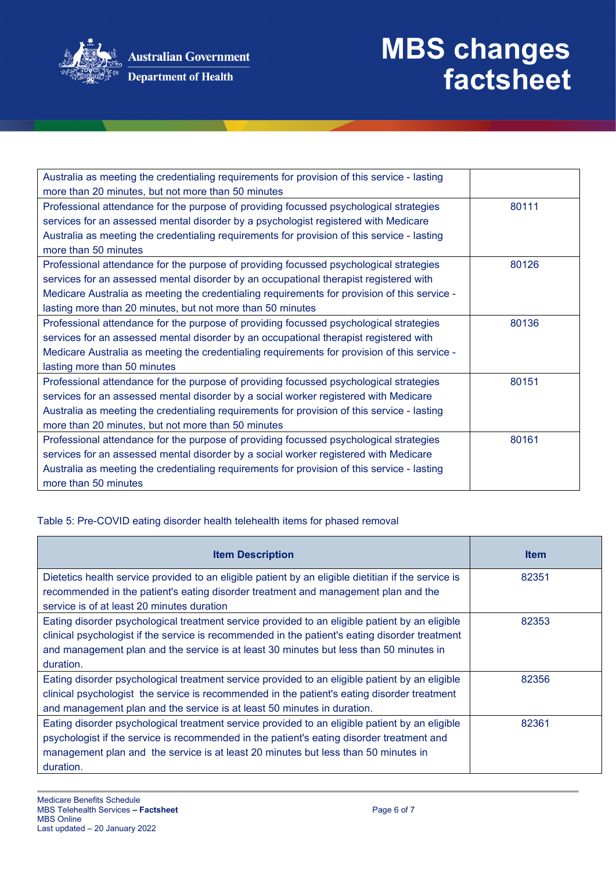

**Department of Health** 

# **MBS changes factsheet**

| Australia as meeting the credentialing requirements for provision of this service - lasting  |       |
|----------------------------------------------------------------------------------------------|-------|
| more than 20 minutes, but not more than 50 minutes                                           |       |
| Professional attendance for the purpose of providing focussed psychological strategies       | 80111 |
| services for an assessed mental disorder by a psychologist registered with Medicare          |       |
| Australia as meeting the credentialing requirements for provision of this service - lasting  |       |
| more than 50 minutes                                                                         |       |
| Professional attendance for the purpose of providing focussed psychological strategies       | 80126 |
| services for an assessed mental disorder by an occupational therapist registered with        |       |
| Medicare Australia as meeting the credentialing requirements for provision of this service - |       |
| lasting more than 20 minutes, but not more than 50 minutes                                   |       |
| Professional attendance for the purpose of providing focussed psychological strategies       | 80136 |
| services for an assessed mental disorder by an occupational therapist registered with        |       |
| Medicare Australia as meeting the credentialing requirements for provision of this service - |       |
| lasting more than 50 minutes                                                                 |       |
| Professional attendance for the purpose of providing focussed psychological strategies       | 80151 |
| services for an assessed mental disorder by a social worker registered with Medicare         |       |
| Australia as meeting the credentialing requirements for provision of this service - lasting  |       |
| more than 20 minutes, but not more than 50 minutes                                           |       |
| Professional attendance for the purpose of providing focussed psychological strategies       | 80161 |
| services for an assessed mental disorder by a social worker registered with Medicare         |       |
| Australia as meeting the credentialing requirements for provision of this service - lasting  |       |
| more than 50 minutes                                                                         |       |

Table 5: Pre-COVID eating disorder health telehealth items for phased removal

| <b>Item Description</b>                                                                             | <b>Item</b> |
|-----------------------------------------------------------------------------------------------------|-------------|
| Dietetics health service provided to an eligible patient by an eligible dietitian if the service is | 82351       |
| recommended in the patient's eating disorder treatment and management plan and the                  |             |
| service is of at least 20 minutes duration                                                          |             |
| Eating disorder psychological treatment service provided to an eligible patient by an eligible      | 82353       |
| clinical psychologist if the service is recommended in the patient's eating disorder treatment      |             |
| and management plan and the service is at least 30 minutes but less than 50 minutes in              |             |
| duration.                                                                                           |             |
| Eating disorder psychological treatment service provided to an eligible patient by an eligible      | 82356       |
| clinical psychologist the service is recommended in the patient's eating disorder treatment         |             |
| and management plan and the service is at least 50 minutes in duration.                             |             |
| Eating disorder psychological treatment service provided to an eligible patient by an eligible      | 82361       |
| psychologist if the service is recommended in the patient's eating disorder treatment and           |             |
| management plan and the service is at least 20 minutes but less than 50 minutes in                  |             |
| duration.                                                                                           |             |